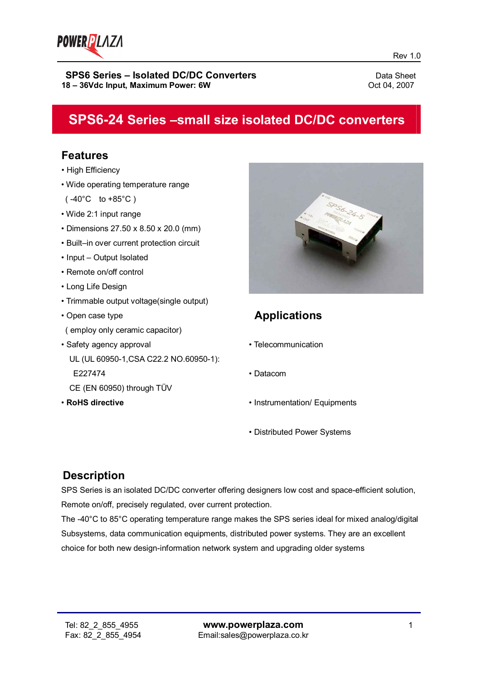

# **SPS6-24 Series –small size isolated DC/DC converters**

# **Features**

- High Efficiency
- Wide operating temperature range
- $(-40^{\circ}C \text{ to } +85^{\circ}C)$
- Wide 2:1 input range
- Dimensions 27.50 x 8.50 x 20.0 (mm)
- Built–in over current protection circuit
- Input Output Isolated
- Remote on/off control
- Long Life Design
- Trimmable output voltage(single output)
- Open case type ( employ only ceramic capacitor)
- Safety agency approval UL (UL 60950-1,CSA C22.2 NO.60950-1): E227474
	- CE (EN 60950) through TÜV
- **RoHS directive**



# **Applications**

- Telecommunication
- Datacom
- Instrumentation/ Equipments
- Distributed Power Systems

# **Description**

SPS Series is an isolated DC/DC converter offering designers low cost and space-efficient solution, Remote on/off, precisely regulated, over current protection.

The -40°C to 85°C operating temperature range makes the SPS series ideal for mixed analog/digital Subsystems, data communication equipments, distributed power systems. They are an excellent choice for both new design-information network system and upgrading older systems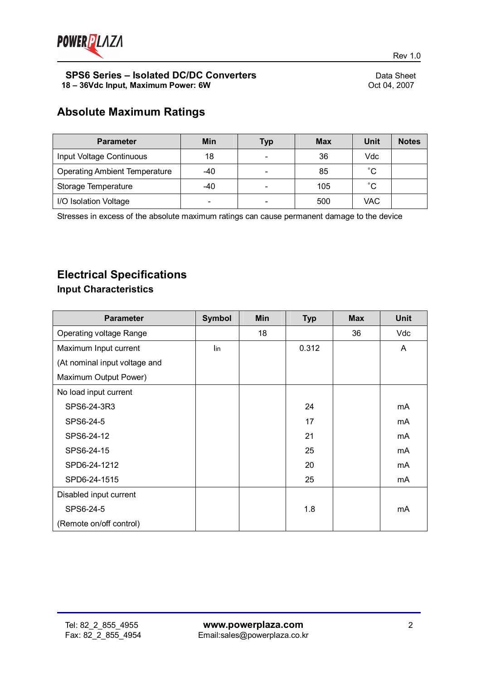

# **Absolute Maximum Ratings**

| <b>Parameter</b>                     | Min   | Typ                      | <b>Max</b> | Unit | <b>Notes</b> |
|--------------------------------------|-------|--------------------------|------------|------|--------------|
| Input Voltage Continuous             | 18    | $\overline{\phantom{0}}$ | 36         | Vdc  |              |
| <b>Operating Ambient Temperature</b> | $-40$ | $\overline{\phantom{0}}$ | 85         | °С   |              |
| Storage Temperature                  | -40   | $\overline{\phantom{0}}$ | 105        | °С   |              |
| I/O Isolation Voltage                |       | $\overline{\phantom{a}}$ | 500        | VAC  |              |

Stresses in excess of the absolute maximum ratings can cause permanent damage to the device

# **Electrical Specifications**

## **Input Characteristics**

| <b>Parameter</b>               | <b>Symbol</b>  | <b>Min</b> | <b>Typ</b> | <b>Max</b> | <b>Unit</b> |
|--------------------------------|----------------|------------|------------|------------|-------------|
| <b>Operating voltage Range</b> |                | 18         |            | 36         | Vdc         |
| Maximum Input current          | $\mathsf{lin}$ |            | 0.312      |            | A           |
| (At nominal input voltage and  |                |            |            |            |             |
| Maximum Output Power)          |                |            |            |            |             |
| No load input current          |                |            |            |            |             |
| SPS6-24-3R3                    |                |            | 24         |            | mA          |
| SPS6-24-5                      |                |            | 17         |            | mA          |
| SPS6-24-12                     |                |            | 21         |            | mA          |
| SPS6-24-15                     |                |            | 25         |            | mA          |
| SPD6-24-1212                   |                |            | 20         |            | mA          |
| SPD6-24-1515                   |                |            | 25         |            | mA          |
| Disabled input current         |                |            |            |            |             |
| SPS6-24-5                      |                |            | 1.8        |            | mA          |
| (Remote on/off control)        |                |            |            |            |             |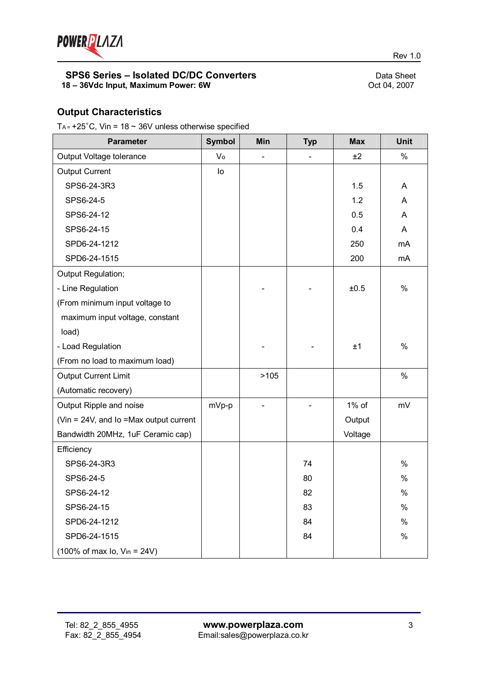

## **Output Characteristics**

T<sub>A</sub> =  $+25^{\circ}$ C, Vin = 18  $\sim$  36V unless otherwise specified

| <b>Parameter</b>                                            | <b>Symbol</b> | Min  | <b>Typ</b> | <b>Max</b> | <b>Unit</b>   |
|-------------------------------------------------------------|---------------|------|------------|------------|---------------|
| Output Voltage tolerance                                    | Vo            |      |            | ±2         | $\%$          |
| <b>Output Current</b>                                       | lo            |      |            |            |               |
| SPS6-24-3R3                                                 |               |      |            | 1.5        | A             |
| SPS6-24-5                                                   |               |      |            | 1.2        | A             |
| SPS6-24-12                                                  |               |      |            | 0.5        | A             |
| SPS6-24-15                                                  |               |      |            | 0.4        | A             |
| SPD6-24-1212                                                |               |      |            | 250        | mA            |
| SPD6-24-1515                                                |               |      |            | 200        | mA            |
| Output Regulation;                                          |               |      |            |            |               |
| - Line Regulation                                           |               |      |            | ±0.5       | %             |
| (From minimum input voltage to                              |               |      |            |            |               |
| maximum input voltage, constant                             |               |      |            |            |               |
| load)                                                       |               |      |            |            |               |
| - Load Regulation                                           |               |      |            | ±1         | $\%$          |
| (From no load to maximum load)                              |               |      |            |            |               |
| <b>Output Current Limit</b>                                 |               | >105 |            |            | $\%$          |
| (Automatic recovery)                                        |               |      |            |            |               |
| Output Ripple and noise                                     | mVp-p         |      |            | 1% of      | mV            |
| (Vin = 24V, and Io = Max output current                     |               |      |            | Output     |               |
| Bandwidth 20MHz, 1uF Ceramic cap)                           |               |      |            | Voltage    |               |
| Efficiency                                                  |               |      |            |            |               |
| SPS6-24-3R3                                                 |               |      | 74         |            | $\%$          |
| SPS6-24-5                                                   |               |      | 80         |            | $\%$          |
| SPS6-24-12                                                  |               |      | 82         |            | $\frac{0}{0}$ |
| SPS6-24-15                                                  |               |      | 83         |            | %             |
| SPD6-24-1212                                                |               |      | 84         |            | $\%$          |
| SPD6-24-1515                                                |               |      | 84         |            | $\%$          |
| $(100\% \text{ of max } I_0, \text{ V}_{in} = 24 \text{V})$ |               |      |            |            |               |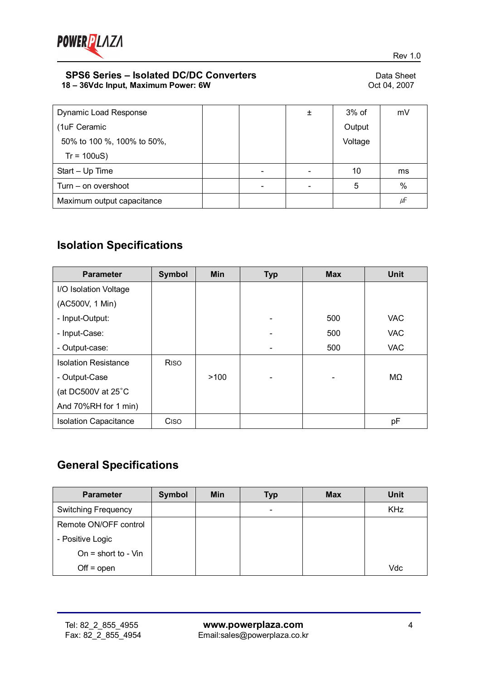

| <b>Dynamic Load Response</b> |  | 土 | $3%$ of | mV   |
|------------------------------|--|---|---------|------|
| (1uF Ceramic                 |  |   | Output  |      |
| 50% to 100 %, 100% to 50%,   |  |   | Voltage |      |
| $Tr = 100uS$                 |  |   |         |      |
| Start - Up Time              |  |   | 10      | ms   |
| Turn – on overshoot          |  |   | 5       | $\%$ |
| Maximum output capacitance   |  |   |         | μF   |

# **Isolation Specifications**

| <b>Parameter</b>             | <b>Symbol</b>           | <b>Min</b> | <b>Typ</b> | <b>Max</b> | <b>Unit</b> |
|------------------------------|-------------------------|------------|------------|------------|-------------|
| I/O Isolation Voltage        |                         |            |            |            |             |
| (AC500V, 1 Min)              |                         |            |            |            |             |
| - Input-Output:              |                         |            |            | 500        | <b>VAC</b>  |
| - Input-Case:                |                         |            |            | 500        | <b>VAC</b>  |
| - Output-case:               |                         |            |            | 500        | <b>VAC</b>  |
| <b>Isolation Resistance</b>  | <b>R</b> <sub>iso</sub> |            |            |            |             |
| - Output-Case                |                         | >100       |            |            | MΩ          |
| (at DC500V at 25°C           |                         |            |            |            |             |
| And 70%RH for 1 min)         |                         |            |            |            |             |
| <b>Isolation Capacitance</b> | Ciso                    |            |            |            | pF          |

# **General Specifications**

| <b>Parameter</b>           | Symbol | <b>Min</b> | <b>Typ</b>               | <b>Max</b> | <b>Unit</b> |
|----------------------------|--------|------------|--------------------------|------------|-------------|
| <b>Switching Frequency</b> |        |            | $\overline{\phantom{a}}$ |            | <b>KHz</b>  |
| Remote ON/OFF control      |        |            |                          |            |             |
| - Positive Logic           |        |            |                          |            |             |
| On = short to - $V$ in     |        |            |                          |            |             |
| $Off = open$               |        |            |                          |            | Vdc         |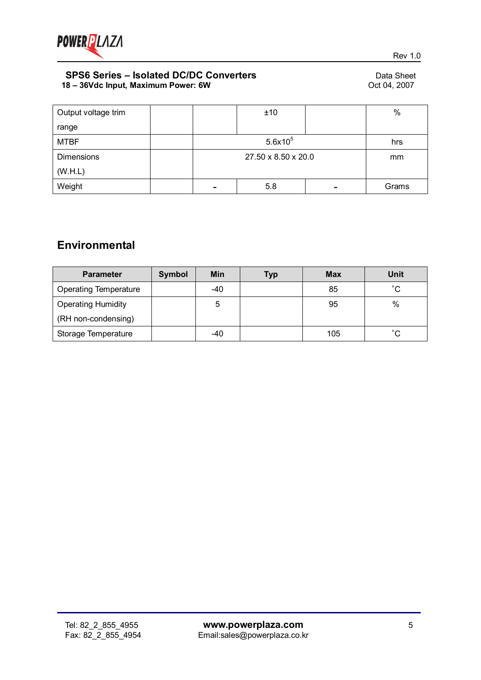

| Output voltage trim |  | ±10                 |   | $\%$  |  |
|---------------------|--|---------------------|---|-------|--|
| range               |  |                     |   |       |  |
| <b>MTBF</b>         |  | $5.6x10^{5}$        |   |       |  |
| <b>Dimensions</b>   |  | 27.50 x 8.50 x 20.0 |   |       |  |
| (W.H.L)             |  |                     |   |       |  |
| Weight              |  | 5.8                 | - | Grams |  |

# **Environmental**

| <b>Parameter</b>             | <b>Symbol</b> | Min   | Typ | <b>Max</b> | <b>Unit</b>  |
|------------------------------|---------------|-------|-----|------------|--------------|
| <b>Operating Temperature</b> |               | $-40$ |     | 85         | $^{\circ}$ C |
| <b>Operating Humidity</b>    |               | 5     |     | 95         | %            |
| (RH non-condensing)          |               |       |     |            |              |
| Storage Temperature          |               | -40   |     | 105        | $^{\circ}$ C |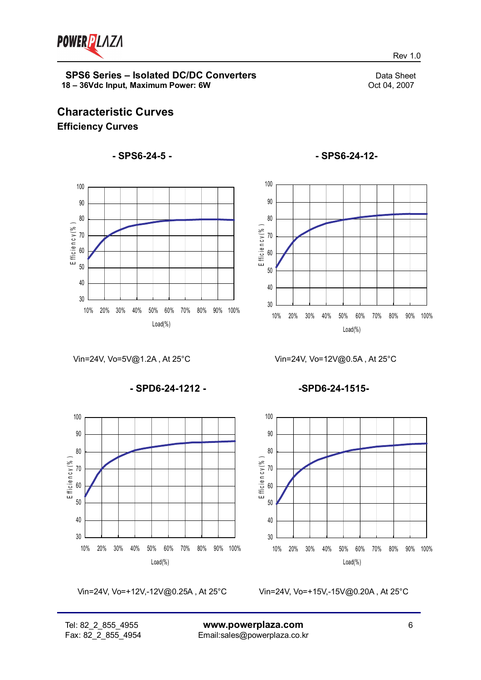

Rev 1.0

# **Characteristic Curves Efficiency Curves**

## **- SPS6-24-5 -**



Vin=24V, Vo=5V@1.2A , At 25°C

**- SPD6-24-1212 -**



Vin=24V, Vo=+12V,-12V@0.25A , At 25°C

Vin=24V, Vo=+15V,-15V@0.20A , At 25°C



**- SPS6-24-12-**

Vin=24V, Vo=12V@0.5A , At 25°C

**-SPD6-24-1515-**

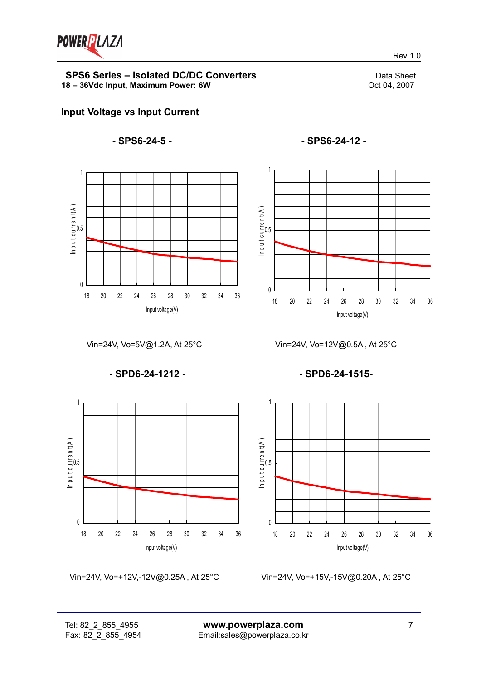

Rev 1.0



#### **- SPS6-24-5 -**



**- SPS6-24-12 -**



Vin=24V, Vo=5V@1.2A, At 25°C

**- SPD6-24-1212 -**



Vin=24V, Vo=+12V,-12V@0.25A , At 25°C

**- SPD6-24-1515-**

Vin=24V, Vo=12V@0.5A , At 25°C



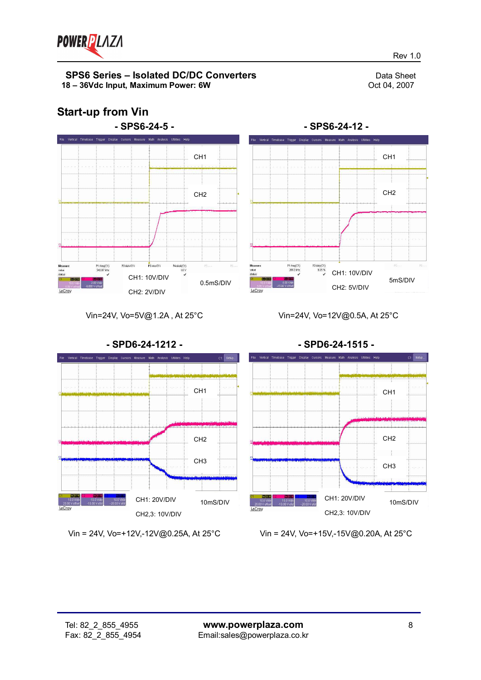

**Start-up from Vin**

#### **SPS6 Series – Isolated DC/DC Converters**<br>
8 – 36Vdc Input. Maximum Power: 6W<br>
Oct 04. 2007 **18 - 36Vdc Input, Maximum Power: 6W**

# **- SPS6-24-5 -** -<br>File Vertical Timebase Trigger Display Cursors Measure Math Analysis Utilities He CH1 CH2 P2 duty(C1) P3:ms(C1)  $\frac{P4:\text{pkpk}(\text{C1})}{1.8 \text{ V}}$ P1:freq(C1)<br>342.67 kHz 陈 CH1: 10V/DIV 0.5mS/DIV CH2: 2V/DIV LeCroy



Vin=24V, Vo=5V@1.2A , At 25°C

Vin=24V, Vo=12V@0.5A, At 25°C



Vin = 24V, Vo=+12V,-12V@0.25A, At 25°C

Vin = 24V, Vo=+15V,-15V@0.20A, At 25°C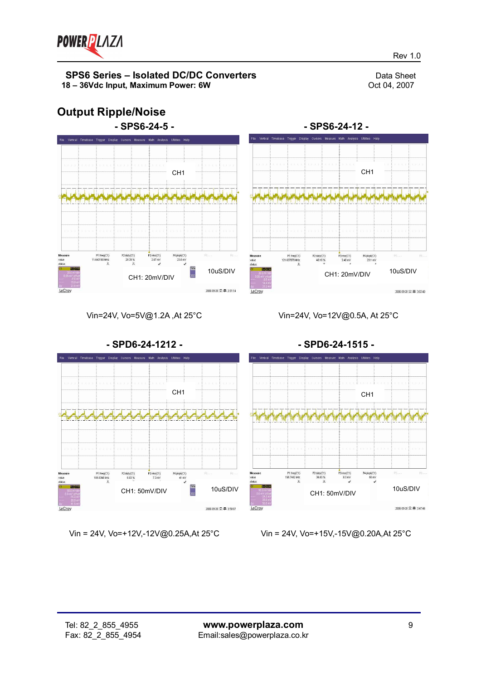

10uS/DIV

 $2005.03.28 \nabla \equiv 30240$ 

Rev 1.0

# **Output Ripple/Noise**



Vin=24V, Vo=5V@1.2A ,At 25°C

Vin=24V, Vo=12V@0.5A, At 25°C

P1:freq(C1)<br>121.637878 MHz

P2:duty(C1)<br>48.10%

CH1: 20mV/DIV

3:ms(C1)<br>2.40 mV

P4:pkpk(C1)<br>23.1 mV

**- SPS6-24-12 -**



Vin = 24V, Vo=+12V,-12V@0.25A,At 25°C

Vin = 24V, Vo=+15V,-15V@0.20A,At 25°C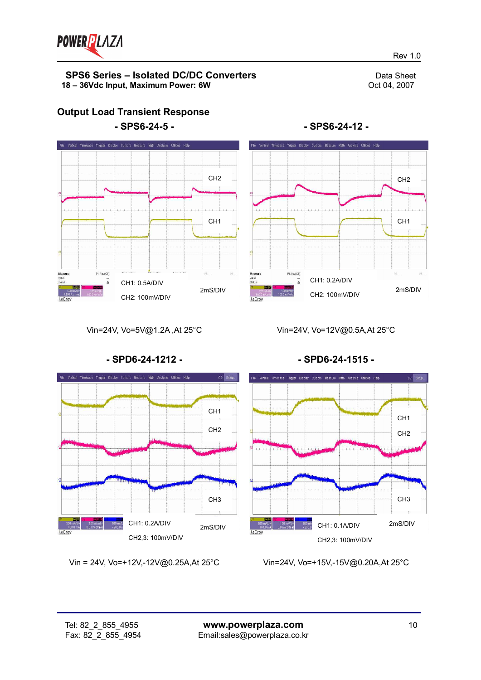

**Output Load Transient Response**

Rev 1.0





**- SPS6-24-12 -**

Vin=24V, Vo=5V@1.2A ,At 25°C

Vin=24V, Vo=12V@0.5A,At 25°C



Vin = 24V, Vo=+12V,-12V@0.25A,At 25°C

**- SPD6-24-1515 -**



Vin=24V, Vo=+15V,-15V@0.20A,At 25°C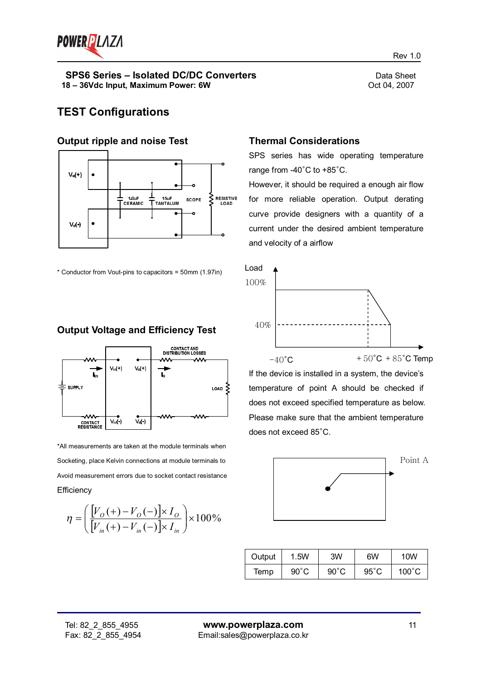

# **TEST Configurations**

#### **Output ripple and noise Test**



\* Conductor from Vout-pins to capacitors = 50mm (1.97in)

## **Output Voltage and Efficiency Test**



\*All measurements are taken at the module terminals when Socketing, place Kelvin connections at module terminals to Avoid measurement errors due to socket contact resistance **Efficiency** 

$$
\eta = \left(\frac{[V_{o}(+)-V_{o}(-)] \times I_{o}}{[V_{in}(+)-V_{in}(-)] \times I_{in}}\right) \times 100\%
$$

#### **Thermal Considerations**

SPS series has wide operating temperature range from -40°C to +85°C.

However, it should be required a enough air flow for more reliable operation. Output derating curve provide designers with a quantity of a current under the desired ambient temperature and velocity of a airflow



If the device is installed in a system, the device's temperature of point A should be checked if does not exceed specified temperature as below. Please make sure that the ambient temperature does not exceed 85°C.



| Output | 1.5W           | 3W             | 6W             | 10W             |
|--------|----------------|----------------|----------------|-----------------|
| Temp   | $90^{\circ}$ C | $90^{\circ}$ C | $95^{\circ}$ C | $100^{\circ}$ C |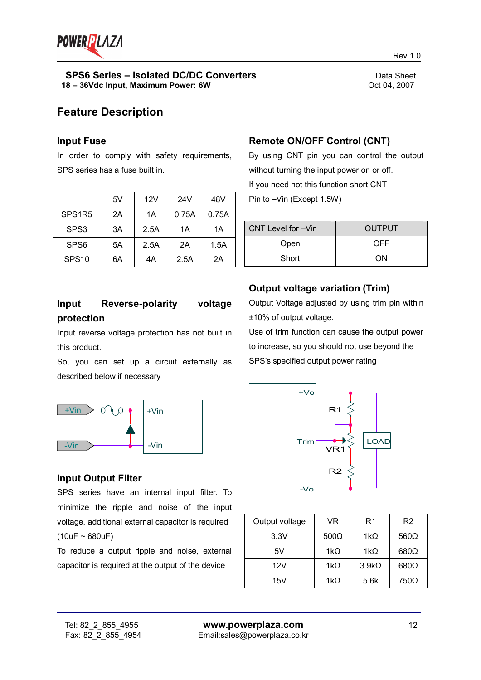

Rev 1.0

# **Feature Description**

#### **Input Fuse**

In order to comply with safety requirements, SPS series has a fuse built in.

|                    | 5V | 12V  | 24V   | 48V   |
|--------------------|----|------|-------|-------|
| SPS <sub>1R5</sub> | 2A | 1A   | 0.75A | 0.75A |
| SPS3               | 3A | 2.5A | 1А    | 1A    |
| SPS <sub>6</sub>   | 5A | 2.5A | 2A    | 1.5A  |
| SPS <sub>10</sub>  | 6A | 4A   | 2.5A  | 2A    |

## **Remote ON/OFF Control (CNT)**

By using CNT pin you can control the output without turning the input power on or off. If you need not this function short CNT Pin to –Vin (Except 1.5W)

| CNT Level for -Vin | <b>OUTPUT</b> |  |
|--------------------|---------------|--|
| Open               | OFF           |  |
| Short              | ΩN            |  |

## **Input Reverse-polarity voltage protection**

Input reverse voltage protection has not built in this product.

So, you can set up a circuit externally as described below if necessary



## **Input Output Filter**

SPS series have an internal input filter. To minimize the ripple and noise of the input voltage, additional external capacitor is required  $(10uF - 680uF)$ 

To reduce a output ripple and noise, external capacitor is required at the output of the device

## **Output voltage variation (Trim)**

Output Voltage adjusted by using trim pin within ±10% of output voltage.

Use of trim function can cause the output power to increase, so you should not use beyond the SPS's specified output power rating



| Output voltage | VR          | R1           | R <sub>2</sub> |
|----------------|-------------|--------------|----------------|
| 3.3V           | $500\Omega$ | 1k $\Omega$  | $560\Omega$    |
| 5V             | 1k $\Omega$ | 1k $\Omega$  | $680\Omega$    |
| 12V            | 1k $\Omega$ | $3.9k\Omega$ | $680\Omega$    |
| 15V            | 1k $\Omega$ | 5.6k         | 750Ω           |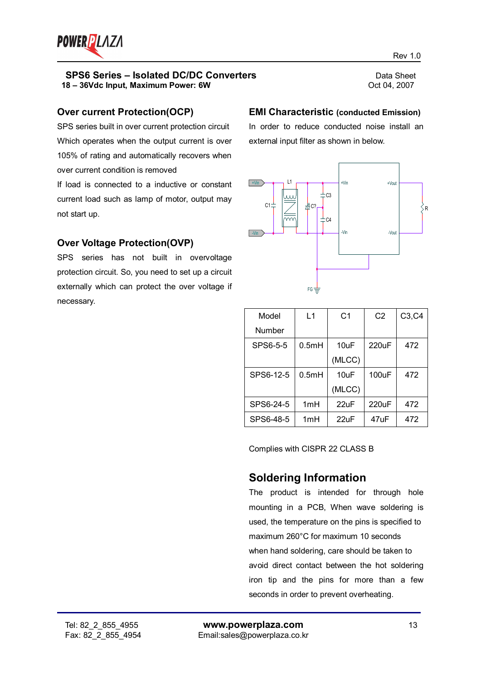

#### **Over current Protection(OCP)**

SPS series built in over current protection circuit Which operates when the output current is over 105% of rating and automatically recovers when over current condition is removed

If load is connected to a inductive or constant current load such as lamp of motor, output may not start up.

## **Over Voltage Protection(OVP)**

SPS series has not built in overvoltage protection circuit. So, you need to set up a circuit externally which can protect the over voltage if necessary.

## **EMI Characteristic (conducted Emission)**

In order to reduce conducted noise install an external input filter as shown in below.



| Model     | L1    | C <sub>1</sub>  | C <sub>2</sub> | C3, C4 |
|-----------|-------|-----------------|----------------|--------|
| Number    |       |                 |                |        |
| SPS6-5-5  | 0.5mH | 10uF            | 220uF          | 472    |
|           |       | (MLCC)          |                |        |
| SPS6-12-5 | 0.5mH | $10$ uF         | 100uF          | 472    |
|           |       | (MLCC)          |                |        |
| SPS6-24-5 | 1mH   | $22\mathrm{uF}$ | $220$ uF       | 472    |
| SPS6-48-5 | 1mH   | 22uF            | 47uF           | 472    |

Complies with CISPR 22 CLASS B

## **Soldering Information**

The product is intended for through hole mounting in a PCB, When wave soldering is used, the temperature on the pins is specified to maximum 260°C for maximum 10 seconds when hand soldering, care should be taken to avoid direct contact between the hot soldering iron tip and the pins for more than a few seconds in order to prevent overheating.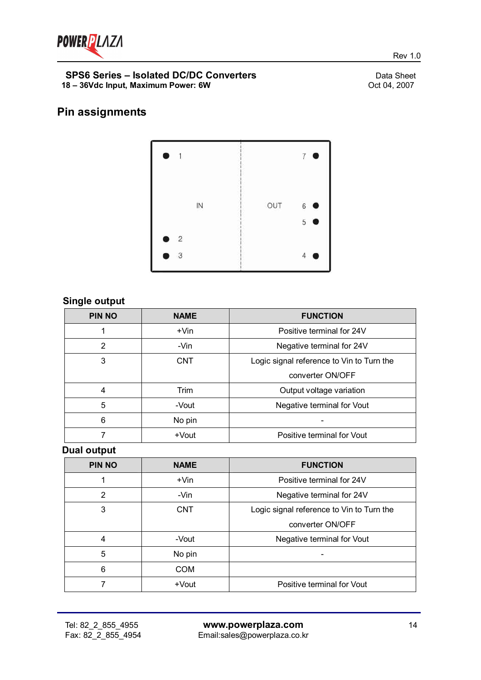

# **Pin assignments**



## **Single output**

| <b>PIN NO</b> | <b>NAME</b> | <b>FUNCTION</b>                           |  |  |
|---------------|-------------|-------------------------------------------|--|--|
|               | +Vin        | Positive terminal for 24V                 |  |  |
| 2             | -Vin        | Negative terminal for 24V                 |  |  |
| 3             | <b>CNT</b>  | Logic signal reference to Vin to Turn the |  |  |
|               |             | converter ON/OFF                          |  |  |
| 4             | Trim        | Output voltage variation                  |  |  |
| 5             | -Vout       | Negative terminal for Vout                |  |  |
| 6             | No pin      |                                           |  |  |
|               | +Vout       | Positive terminal for Vout                |  |  |

**Dual output**

| <b>PIN NO</b> | <b>NAME</b> | <b>FUNCTION</b>                           |  |  |
|---------------|-------------|-------------------------------------------|--|--|
|               | $+V$ in     | Positive terminal for 24V                 |  |  |
| 2             | -Vin        | Negative terminal for 24V                 |  |  |
| 3             | <b>CNT</b>  | Logic signal reference to Vin to Turn the |  |  |
|               |             | converter ON/OFF                          |  |  |
| 4             | -Vout       | Negative terminal for Vout                |  |  |
| 5             | No pin      |                                           |  |  |
| 6             | <b>COM</b>  |                                           |  |  |
|               | +Vout       | Positive terminal for Vout                |  |  |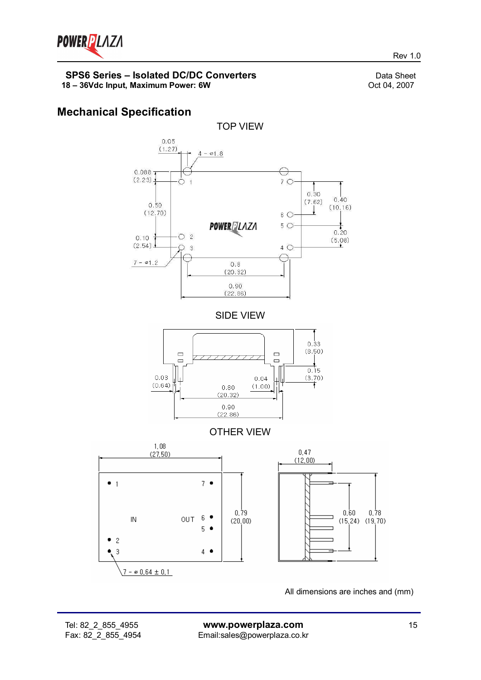

# **Mechanical Specification**



All dimensions are inches and (mm)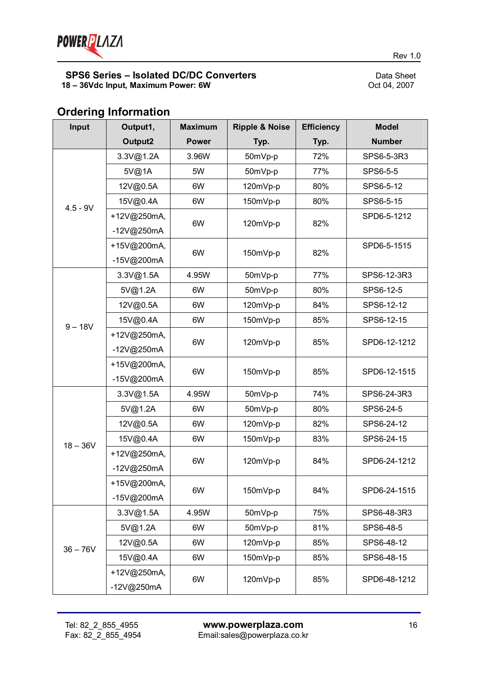

# **Ordering Information**

| Input      | Output1,     | <b>Maximum</b> | <b>Ripple &amp; Noise</b> | <b>Efficiency</b> | <b>Model</b>  |
|------------|--------------|----------------|---------------------------|-------------------|---------------|
|            | Output2      | <b>Power</b>   | Typ.                      | Typ.              | <b>Number</b> |
| $4.5 - 9V$ | 3.3V@1.2A    | 3.96W          | 50mVp-p                   | 72%               | SPS6-5-3R3    |
|            | 5V@1A        | 5W             | 50mVp-p                   | 77%               | SPS6-5-5      |
|            | 12V@0.5A     | 6W             | 120mVp-p                  | 80%               | SPS6-5-12     |
|            | 15V@0.4A     | 6W             | 150mVp-p                  | 80%               | SPS6-5-15     |
|            | +12V@250mA,  | 6W             | 120mVp-p                  | 82%               | SPD6-5-1212   |
|            | -12V@250mA   |                |                           |                   |               |
|            | +15V@200mA,  | 6W             | 150mVp-p                  | 82%               | SPD6-5-1515   |
|            | -15V@200mA   |                |                           |                   |               |
|            | 3.3V@1.5A    | 4.95W          | 50mVp-p                   | 77%               | SPS6-12-3R3   |
|            | 5V@1.2A      | 6W             | 50mVp-p                   | 80%               | SPS6-12-5     |
|            | 12V@0.5A     | 6W             | 120mVp-p                  | 84%               | SPS6-12-12    |
| $9 - 18V$  | 15V@0.4A     | 6W             | 150mVp-p                  | 85%               | SPS6-12-15    |
|            | +12V@250mA,  |                | 120mVp-p                  | 85%               | SPD6-12-1212  |
|            | -12V@250mA   | 6W             |                           |                   |               |
|            | +15V@200mA,  | 6W             | 150mVp-p                  | 85%               | SPD6-12-1515  |
|            | -15V@200mA   |                |                           |                   |               |
|            | 3.3V@1.5A    | 4.95W          | 50mVp-p                   | 74%               | SPS6-24-3R3   |
|            | 5V@1.2A      | 6W             | 50mVp-p                   | 80%               | SPS6-24-5     |
|            | 12V@0.5A     | 6W             | 120mVp-p                  | 82%               | SPS6-24-12    |
| $18 - 36V$ | 15V@0.4A     | 6W             | 150mVp-p                  | 83%               | SPS6-24-15    |
|            | +12V@250mA,  | 6W             | 120mVp-p                  | 84%               | SPD6-24-1212  |
|            | $-12V@250mA$ |                |                           |                   |               |
|            | +15V@200mA,  | 6W             | 150mVp-p                  | 84%               | SPD6-24-1515  |
|            | -15V@200mA   |                |                           |                   |               |
| $36 - 76V$ | 3.3V@1.5A    | 4.95W          | 50mVp-p                   | 75%               | SPS6-48-3R3   |
|            | 5V@1.2A      | 6W             | 50mVp-p                   | 81%               | SPS6-48-5     |
|            | 12V@0.5A     | 6W             | 120mVp-p                  | 85%               | SPS6-48-12    |
|            | 15V@0.4A     | 6W             | 150mVp-p                  | 85%               | SPS6-48-15    |
|            | +12V@250mA,  | 6W             | 120mVp-p                  | 85%               | SPD6-48-1212  |
|            | -12V@250mA   |                |                           |                   |               |